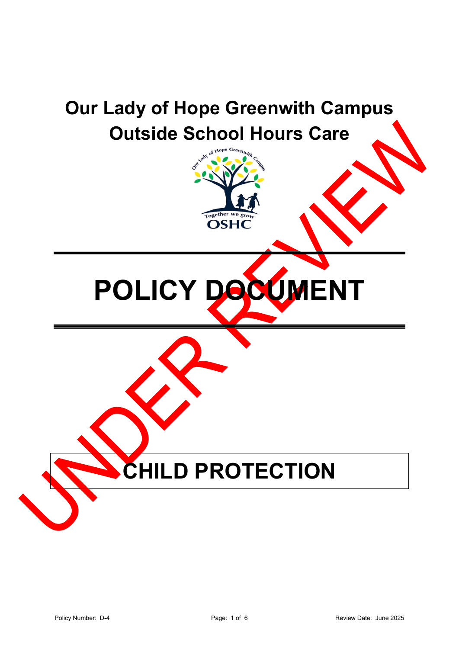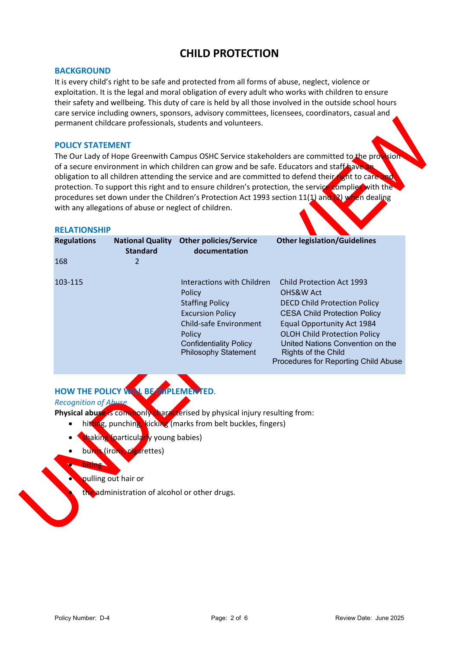# **CHILD PROTECTION**

### **BACKGROUND**

It is every child's right to be safe and protected from all forms of abuse, neglect, violence or exploitation. It is the legal and moral obligation of every adult who works with children to ensure their safety and wellbeing. This duty of care is held by all those involved in the outside school hours care service including owners, sponsors, advisory committees, licensees, coordinators, casual and permanent childcare professionals, students and volunteers.

### **POLICY STATEMENT**

The Our Lady of Hope Greenwith Campus OSHC Service stakeholders are committed to the provision of a secure environment in which children can grow and be safe. Educators and staff have obligation to all children attending the service and are committed to defend their right to care and protection. To support this right and to ensure children's protection, the service complies with the procedures set down under the Children's Protection Act 1993 section 11(1) and (2) when dealing with any allegations of abuse or neglect of children.

#### **RELATIONSHIP**

| <b>Regulations</b> | <b>National Quality</b><br><b>Standard</b> | <b>Other policies/Service</b><br>documentation | <b>Other legislation/Guidelines</b>                         |
|--------------------|--------------------------------------------|------------------------------------------------|-------------------------------------------------------------|
| 168                | 2                                          |                                                |                                                             |
| 103-115            |                                            | Interactions with Children                     | <b>Child Protection Act 1993</b>                            |
|                    |                                            | Policy                                         | OHS&W Act                                                   |
|                    |                                            | <b>Staffing Policy</b>                         | <b>DECD Child Protection Policy</b>                         |
|                    |                                            | <b>Excursion Policy</b>                        | <b>CESA Child Protection Policy</b>                         |
|                    |                                            | <b>Child-safe Environment</b>                  | Equal Opportunity Act 1984                                  |
|                    |                                            | Policy                                         | <b>OLOH Child Protection Policy</b>                         |
|                    |                                            | <b>Confidentiality Policy</b>                  | United Nations Convention on the                            |
|                    |                                            | <b>Philosophy Statement</b>                    | Rights of the Child<br>Procedures for Reporting Child Abuse |

# **HOW THE POLICY WILL BE IMPLEMENTED**.

*Recognition of Abuse*

**Physical abuse** is commonly characterised by physical injury resulting from:

- hitting, punching, kicking (marks from belt buckles, fingers)
- shaking (particularly young babies)
- burns (irons, cigarettes)

# • biting

# • pulling out hair or

the administration of alcohol or other drugs.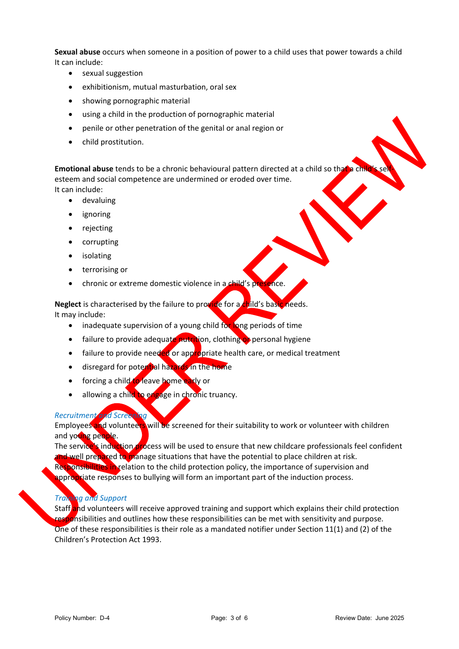**Sexual abuse** occurs when someone in a position of power to a child uses that power towards a child It can include:

- sexual suggestion
- exhibitionism, mutual masturbation, oral sex
- showing pornographic material
- using a child in the production of pornographic material
- penile or other penetration of the genital or anal region or
- child prostitution.

**Emotional abuse** tends to be a chronic behavioural pattern directed at a child so that a ch esteem and social competence are undermined or eroded over time. It can include:

- devaluing
- ignoring
- rejecting
- corrupting
- isolating
- terrorising or
- chronic or extreme domestic violence in a child's presence.

**Neglect** is characterised by the failure to provide for a child's basic needs. It may include:

- inadequate supervision of a young child for long periods of time
- failure to provide adequate nutrition, clothing of personal hygiene
- failure to provide needed or appropriate health care, or medical treatment
- disregard for potential hazards in the home
- forcing a child to leave home early or
- allowing a child to engage in chronic truancy.

#### *Recruitment and Screening*

Employees and volunteers will be screened for their suitability to work or volunteer with children and young people.

The service's induction process will be used to ensure that new childcare professionals feel confident and well prepared to manage situations that have the potential to place children at risk. Responsibilities in relation to the child protection policy, the importance of supervision and appropriate responses to bullying will form an important part of the induction process.

# *Training and Support*

Staff and volunteers will receive approved training and support which explains their child protection responsibilities and outlines how these responsibilities can be met with sensitivity and purpose. One of these responsibilities is their role as a mandated notifier under Section 11(1) and (2) of the Children's Protection Act 1993.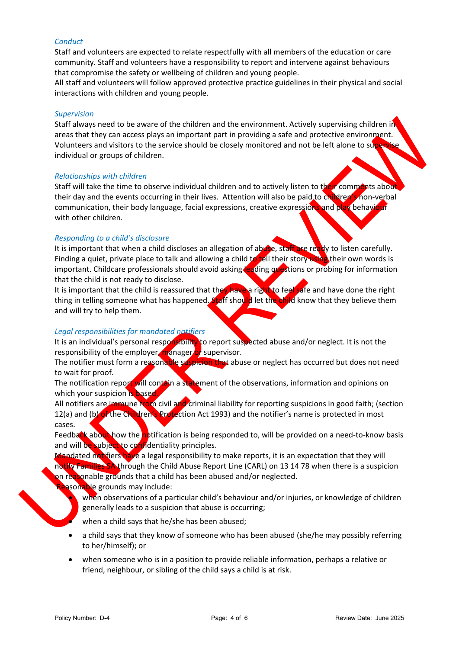## *Conduct*

Staff and volunteers are expected to relate respectfully with all members of the education or care community. Staff and volunteers have a responsibility to report and intervene against behaviours that compromise the safety or wellbeing of children and young people.

All staff and volunteers will follow approved protective practice guidelines in their physical and social interactions with children and young people.

### *Supervision*

Staff always need to be aware of the children and the environment. Actively supervising children in areas that they can access plays an important part in providing a safe and protective environment. Volunteers and visitors to the service should be closely monitored and not be left alone to supervise individual or groups of children.

### *Relationships with children*

Staff will take the time to observe individual children and to actively listen to their comments about their day and the events occurring in their lives. Attention will also be paid to children's non-verbal communication, their body language, facial expressions, creative expressions and play behaviour with other children.

### *Responding to a child's disclosure*

It is important that when a child discloses an allegation of abuse, staff are ready to listen carefully. Finding a quiet, private place to talk and allowing a child to tell their story using their own words is important. Childcare professionals should avoid asking leading questions or probing for information that the child is not ready to disclose.

It is important that the child is reassured that they have a right to feel safe and have done the right thing in telling someone what has happened. Staff should let the child know that they believe them and will try to help them.

## *Legal responsibilities for mandated notifiers*

It is an individual's personal responsibility to report suspected abuse and/or neglect. It is not the responsibility of the employer, manager or supervisor.

The notifier must form a reasonable suspicion that abuse or neglect has occurred but does not need to wait for proof.

The notification report will contain a statement of the observations, information and opinions on which your suspicion is based.

All notifiers are immune from civil and criminal liability for reporting suspicions in good faith; (section 12(a) and (b) of the Children's Protection Act 1993) and the notifier's name is protected in most cases.

Feedback about how the notification is being responded to, will be provided on a need-to-know basis and will be subject to confidentiality principles.

Mandated notifiers have a legal responsibility to make reports, it is an expectation that they will notify Families SA through the Child Abuse Report Line (CARL) on 13 14 78 when there is a suspicion on reasonable grounds that a child has been abused and/or neglected.

**Pasonable grounds may include:** 

when observations of a particular child's behaviour and/or injuries, or knowledge of children generally leads to a suspicion that abuse is occurring;

when a child says that he/she has been abused;

- a child says that they know of someone who has been abused (she/he may possibly referring to her/himself); or
- when someone who is in a position to provide reliable information, perhaps a relative or friend, neighbour, or sibling of the child says a child is at risk.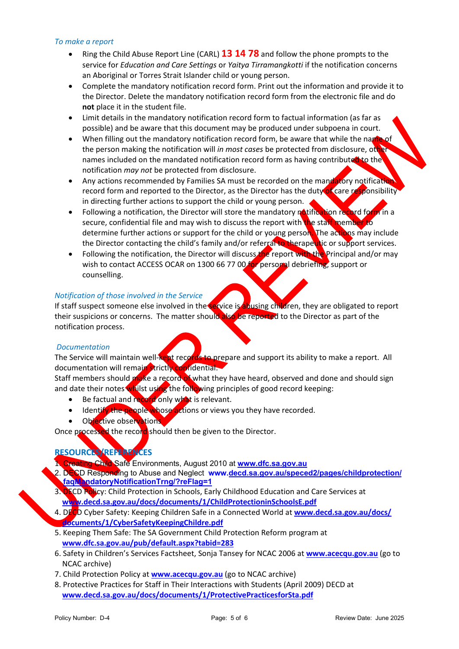## *To make a report*

- Ring the Child Abuse Report Line (CARL) **13 14 78** and follow the phone prompts to the service for *Education and Care Settings* or *Yaitya Tirramangkotti* if the notification concerns an Aboriginal or Torres Strait Islander child or young person.
- Complete the mandatory notification record form. Print out the information and provide it to the Director. Delete the mandatory notification record form from the electronic file and do **not** place it in the student file.
- Limit details in the mandatory notification record form to factual information (as far as possible) and be aware that this document may be produced under subpoena in court.
- When filling out the mandatory notification record form, be aware that while the name of the person making the notification will *in most cases* be protected from disclosure, other names included on the mandated notification record form as having contributed to the notification *may not* be protected from disclosure.
- Any actions recommended by Families SA must be recorded on the mandatory notification record form and reported to the Director, as the Director has the duty of care responsibility in directing further actions to support the child or young person.
- Following a notification, the Director will store the mandatory notification record form in a secure, confidential file and may wish to discuss the report with the staff member to determine further actions or support for the child or young person. The actions may include the Director contacting the child's family and/or referral to therapeutic or support services.
- Following the notification, the Director will discuss the report with the Principal and/or may wish to contact ACCESS OCAR on 1300 66 77 00 for personal debriefing, support or counselling.

# *Notification of those involved in the Service*

If staff suspect someone else involved in the service is abusing children, they are obligated to report their suspicions or concerns. The matter should also be reported to the Director as part of the notification process.

## *Documentation*

The Service will maintain well-kept records to prepare and support its ability to make a report. All documentation will remain strictly confidential.

Staff members should make a record of what they have heard, observed and done and should sign and date their notes whilst using the following principles of good record keeping:

- Be factual and record only what is relevant.
- Identify the people whose actions or views you they have recorded.
- Objective observations

Once processed the record should then be given to the Director.

# **RESOURCES/REFERENCES**

- 1. Creating Child Safe Environments, August 2010 at **www.dfc.sa.gov.au**
- 2. DECD Responding to Abuse and Neglect **www.decd.sa.gov.au/speced2/pages/childprotection/ faqMandatoryNotificationTrng/?reFlag=1**
- 3. DECD Policy: Child Protection in Schools, Early Childhood Education and Care Services at **www.decd.sa.gov.au/docs/documents/1/ChildProtectioninSchoolsE.pdf**
- 4. DECD Cyber Safety: Keeping Children Safe in a Connected World at **www.decd.sa.gov.au/docs/ documents/1/CyberSafetyKeepingChildre.pdf**
- 5. Keeping Them Safe: The SA Government Child Protection Reform program at  **www.dfc.sa.gov.au/pub/default.aspx?tabid=283**
- 6. Safety in Children's Services Factsheet, Sonja Tansey for NCAC 2006 at **www.acecqu.gov.au** (go to NCAC archive)
- 7. Child Protection Policy at **www.acecqu.gov.au** (go to NCAC archive)
- 8. Protective Practices for Staff in Their Interactions with Students (April 2009) DECD at  **www.decd.sa.gov.au/docs/documents/1/ProtectivePracticesforSta.pdf**